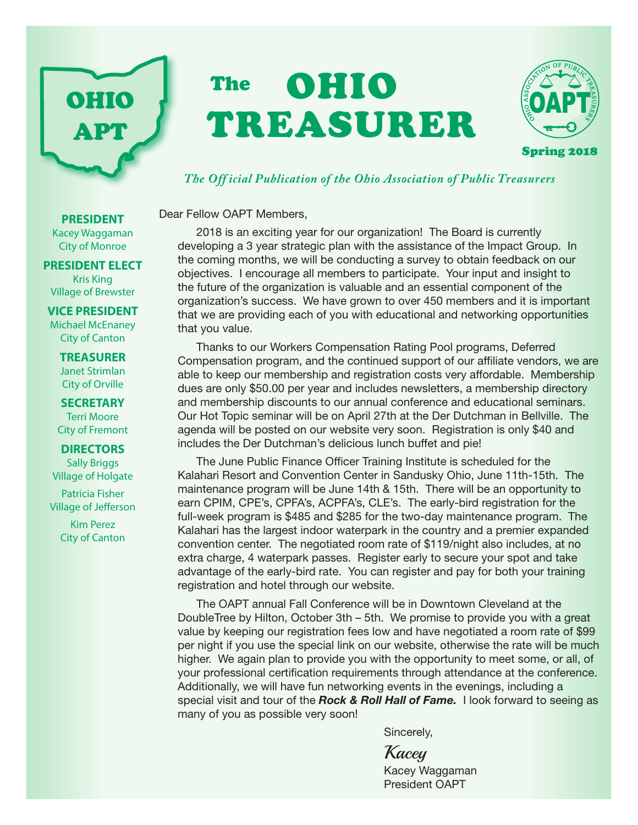# OHIO APT

# The **OHIO** TREASURER



#### *The Off icial Publication of the Ohio Association of Public Treasurers*

Dear Fellow OAPT Members,

2018 is an exciting year for our organization! The Board is currently developing a 3 year strategic plan with the assistance of the Impact Group. In the coming months, we will be conducting a survey to obtain feedback on our objectives. I encourage all members to participate. Your input and insight to the future of the organization is valuable and an essential component of the organization's success. We have grown to over 450 members and it is important that we are providing each of you with educational and networking opportunities that you value.

Thanks to our Workers Compensation Rating Pool programs, Deferred Compensation program, and the continued support of our affiliate vendors, we are able to keep our membership and registration costs very affordable. Membership dues are only \$50.00 per year and includes newsletters, a membership directory and membership discounts to our annual conference and educational seminars. Our Hot Topic seminar will be on April 27th at the Der Dutchman in Bellville. The agenda will be posted on our website very soon. Registration is only \$40 and includes the Der Dutchman's delicious lunch buffet and pie!

The June Public Finance Officer Training Institute is scheduled for the Kalahari Resort and Convention Center in Sandusky Ohio, June 11th-15th. The maintenance program will be June 14th & 15th. There will be an opportunity to earn CPIM, CPE's, CPFA's, ACPFA's, CLE's. The early-bird registration for the full-week program is \$485 and \$285 for the two-day maintenance program. The Kalahari has the largest indoor waterpark in the country and a premier expanded convention center. The negotiated room rate of \$119/night also includes, at no extra charge, 4 waterpark passes. Register early to secure your spot and take advantage of the early-bird rate. You can register and pay for both your training registration and hotel through our website.

The OAPT annual Fall Conference will be in Downtown Cleveland at the DoubleTree by Hilton, October 3th – 5th. We promise to provide you with a great value by keeping our registration fees low and have negotiated a room rate of \$99 per night if you use the special link on our website, otherwise the rate will be much higher. We again plan to provide you with the opportunity to meet some, or all, of your professional certification requirements through attendance at the conference. Additionally, we will have fun networking events in the evenings, including a special visit and tour of the *Rock & Roll Hall of Fame.* I look forward to seeing as many of you as possible very soon!

Sincerely,

Kacey Kacey Waggaman President OAPT

#### **PRESIDENT**

Kacey Waggaman City of Monroe

#### **PRESIDENT ELECT** Kris King

Village of Brewster

#### **VICE PRESIDENT**

Michael McEnaney City of Canton

#### **TREASURER** Janet Strimlan City of Orville

**SECRETARY** Terri Moore City of Fremont

#### **DIRECTORS**

Sally Briggs Village of Holgate

Patricia Fisher Village of Jefferson

> Kim Perez City of Canton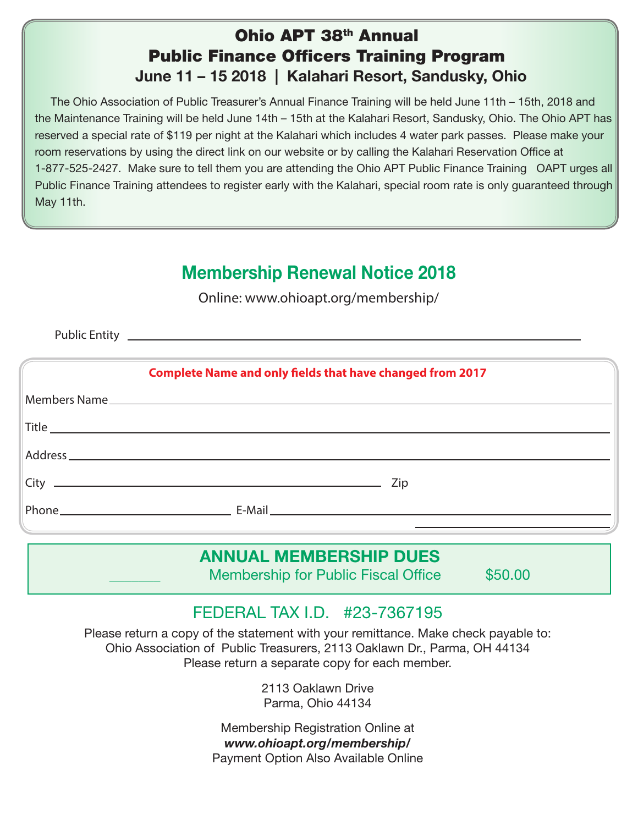### Ohio APT 38th Annual Public Finance Officers Training Program June 11 – 15 2018 | Kalahari Resort, Sandusky, Ohio

 The Ohio Association of Public Treasurer's Annual Finance Training will be held June 11th – 15th, 2018 and the Maintenance Training will be held June 14th – 15th at the Kalahari Resort, Sandusky, Ohio. The Ohio APT has reserved a special rate of \$119 per night at the Kalahari which includes 4 water park passes. Please make your room reservations by using the direct link on our website or by calling the Kalahari Reservation Office at 1-877-525-2427. Make sure to tell them you are attending the Ohio APT Public Finance Training OAPT urges all Public Finance Training attendees to register early with the Kalahari, special room rate is only guaranteed through May 11th.

# Membership Renewal Notice 2018

Online: www.ohioapt.org/membership/

Public Entity \_

| <b>Complete Name and only fields that have changed from 2017</b> |                                                                                                                                                                                                                                                                                                                                                                                                                               |  |  |  |
|------------------------------------------------------------------|-------------------------------------------------------------------------------------------------------------------------------------------------------------------------------------------------------------------------------------------------------------------------------------------------------------------------------------------------------------------------------------------------------------------------------|--|--|--|
|                                                                  |                                                                                                                                                                                                                                                                                                                                                                                                                               |  |  |  |
|                                                                  | $\begin{tabular}{ c c c c } \hline \textbf{Title} & \textbf{m} & \textbf{m} & \textbf{m} & \textbf{m} & \textbf{m} & \textbf{m} & \textbf{m} & \textbf{m} & \textbf{m} & \textbf{m} & \textbf{m} & \textbf{m} & \textbf{m} & \textbf{m} & \textbf{m} & \textbf{m} & \textbf{m} & \textbf{m} & \textbf{m} & \textbf{m} & \textbf{m} & \textbf{m} & \textbf{m} & \textbf{m} & \textbf{m} & \textbf{m} & \textbf{m} & \textbf{m$ |  |  |  |
|                                                                  |                                                                                                                                                                                                                                                                                                                                                                                                                               |  |  |  |
|                                                                  |                                                                                                                                                                                                                                                                                                                                                                                                                               |  |  |  |
|                                                                  |                                                                                                                                                                                                                                                                                                                                                                                                                               |  |  |  |

## ANNUAL MEMBERSHIP DUES

Membership for Public Fiscal Office \$50.00

# FEDERAL TAX I.D. #23-7367195

Please return a copy of the statement with your remittance. Make check payable to: Ohio Association of Public Treasurers, 2113 Oaklawn Dr., Parma, OH 44134 Please return a separate copy for each member.

> 2113 Oaklawn Drive Parma, Ohio 44134

Membership Registration Online at *www.ohioapt.org/membership/* Payment Option Also Available Online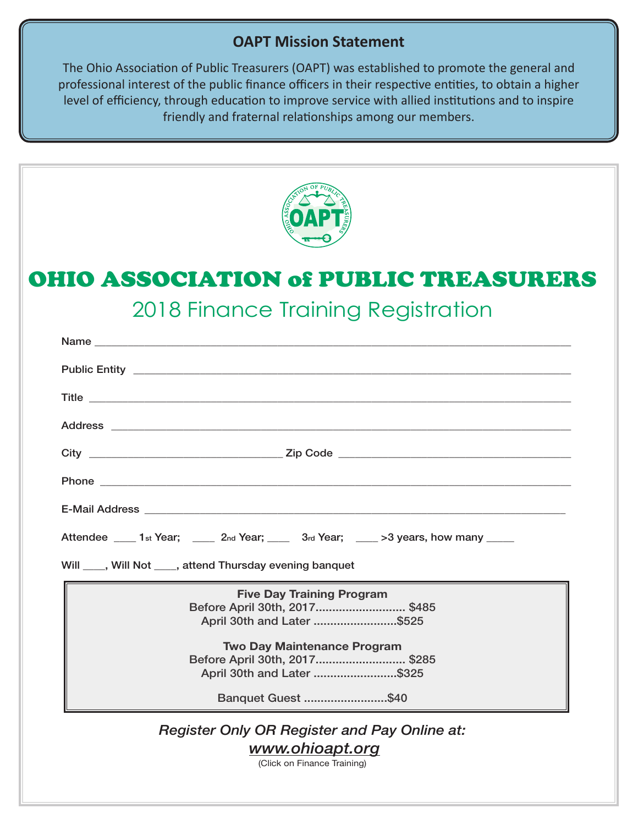#### **OAPT Mission Statement**

The Ohio Association of Public Treasurers (OAPT) was established to promote the general and professional interest of the public finance officers in their respective entities, to obtain a higher level of efficiency, through education to improve service with allied institutions and to inspire friendly and fraternal relationships among our members.



# OHIO ASSOCIATION of PUBLIC TREASURERS

2018 Finance Training Registration

| Attendee _____ 1 <sub>st</sub> Year; _____ 2 <sub>nd</sub> Year; _____ 3 <sub>rd</sub> Year; ____ >3 years, how many _____                                                                                                 |  |  |  |
|----------------------------------------------------------------------------------------------------------------------------------------------------------------------------------------------------------------------------|--|--|--|
| Will ____, Will Not ____, attend Thursday evening banquet                                                                                                                                                                  |  |  |  |
| <b>Five Day Training Program</b><br>Before April 30th, 2017 \$485<br>April 30th and Later \$525<br><b>Two Day Maintenance Program</b><br>Before April 30th, 2017 \$285<br>April 30th and Later \$325<br>Banquet Guest \$40 |  |  |  |
| <b>Register Only OR Register and Pay Online at:</b>                                                                                                                                                                        |  |  |  |

*www.ohioapt.org*

(Click on Finance Training)